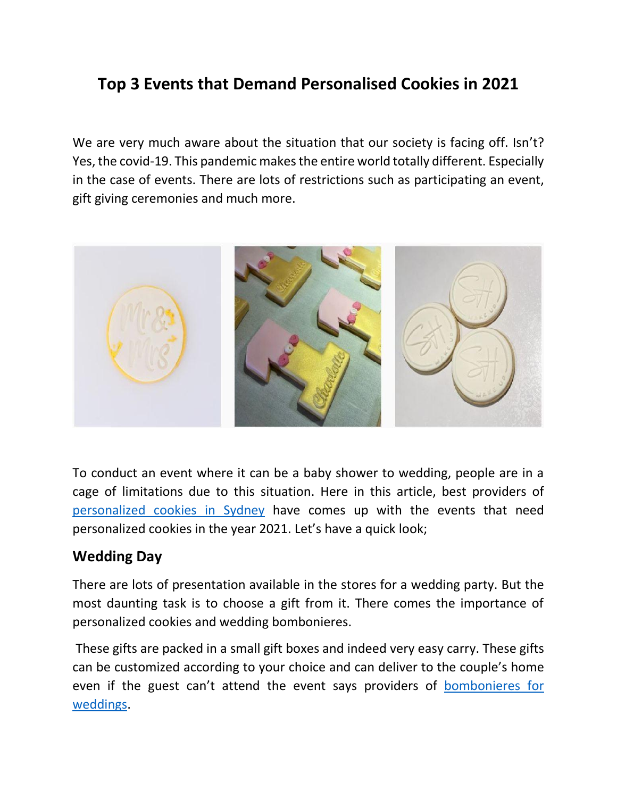# **Top 3 Events that Demand Personalised Cookies in 2021**

We are very much aware about the situation that our society is facing off. Isn't? Yes, the covid-19. This pandemic makes the entire world totally different. Especially in the case of events. There are lots of restrictions such as participating an event, gift giving ceremonies and much more.



To conduct an event where it can be a baby shower to wedding, people are in a cage of limitations due to this situation. Here in this article, best providers of personalized [cookies in Sydney](https://thesweetbox.com.au/) have comes up with the events that need personalized cookies in the year 2021. Let's have a quick look;

#### **Wedding Day**

There are lots of presentation available in the stores for a wedding party. But the most daunting task is to choose a gift from it. There comes the importance of personalized cookies and wedding bombonieres.

These gifts are packed in a small gift boxes and indeed very easy carry. These gifts can be customized according to your choice and can deliver to the couple's home even if the guest can't attend the event says providers of [bombonieres for](https://thesweetbox.com.au/product-category/weddings-and-engagements/)  [weddings.](https://thesweetbox.com.au/product-category/weddings-and-engagements/)